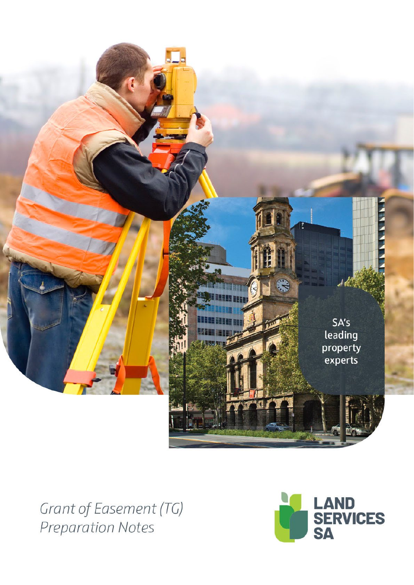

Grant of Easement (TG) **Preparation Notes** 

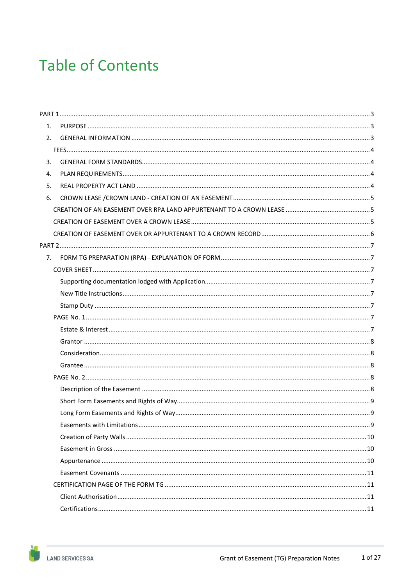# **Table of Contents**

| 1. |  |
|----|--|
| 2. |  |
|    |  |
| 3. |  |
| 4. |  |
| 5. |  |
| 6. |  |
|    |  |
|    |  |
|    |  |
|    |  |
| 7. |  |
|    |  |
|    |  |
|    |  |
|    |  |
|    |  |
|    |  |
|    |  |
|    |  |
|    |  |
|    |  |
|    |  |
|    |  |
|    |  |
|    |  |
|    |  |
|    |  |
|    |  |
|    |  |
|    |  |
|    |  |
|    |  |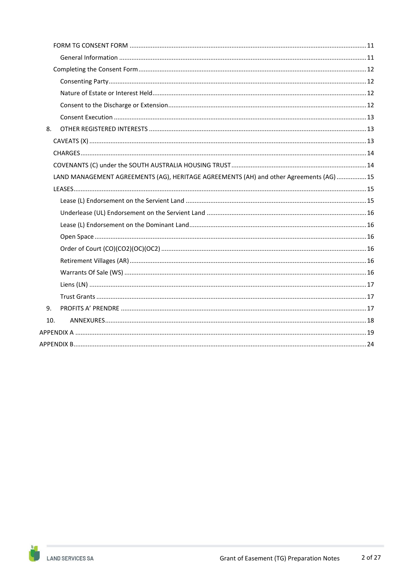| 8.  |                                                                                         |  |
|-----|-----------------------------------------------------------------------------------------|--|
|     |                                                                                         |  |
|     |                                                                                         |  |
|     |                                                                                         |  |
|     | LAND MANAGEMENT AGREEMENTS (AG), HERITAGE AGREEMENTS (AH) and other Agreements (AG)  15 |  |
|     |                                                                                         |  |
|     |                                                                                         |  |
|     |                                                                                         |  |
|     |                                                                                         |  |
|     |                                                                                         |  |
|     |                                                                                         |  |
|     |                                                                                         |  |
|     |                                                                                         |  |
|     |                                                                                         |  |
|     |                                                                                         |  |
| 9.  |                                                                                         |  |
| 10. |                                                                                         |  |
|     |                                                                                         |  |
|     |                                                                                         |  |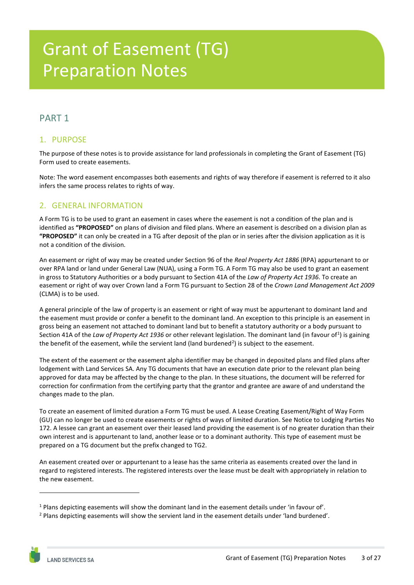# Grant of Easement (TG) Preparation Notes

# <span id="page-3-0"></span>PART 1

# <span id="page-3-1"></span>1. PURPOSE

The purpose of these notes is to provide assistance for land professionals in completing the Grant of Easement (TG) Form used to create easements.

Note: The word easement encompasses both easements and rights of way therefore if easement is referred to it also infers the same process relates to rights of way.

# <span id="page-3-2"></span>2. GENERAL INFORMATION

A Form TG is to be used to grant an easement in cases where the easement is not a condition of the plan and is identified as **"PROPOSED"** on plans of division and filed plans. Where an easement is described on a division plan as **"PROPOSED"** it can only be created in a TG after deposit of the plan or in series after the division application as it is not a condition of the division.

An easement or right of way may be created under Section 96 of the *Real Property Act 1886* (RPA) appurtenant to or over RPA land or land under General Law (NUA), using a Form TG. A Form TG may also be used to grant an easement in gross to Statutory Authorities or a body pursuant to Section 41A of the *Law of Property Act 1936*. To create an easement or right of way over Crown land a Form TG pursuant to Section 28 of the *Crown Land Management Act 2009* (CLMA) is to be used.

A general principle of the law of property is an easement or right of way must be appurtenant to dominant land and the easement must provide or confer a benefit to the dominant land. An exception to this principle is an easement in gross being an easement not attached to dominant land but to benefit a statutory authority or a body pursuant to Section 4[1](#page-3-3)A of the *Law of Property Act 1936* or other relevant legislation. The dominant land (in favour of<sup>1</sup>) is gaining the benefit of the easement, while the servient land (land burdened<sup>[2](#page-3-4)</sup>) is subject to the easement.

The extent of the easement or the easement alpha identifier may be changed in deposited plans and filed plans after lodgement with Land Services SA. Any TG documents that have an execution date prior to the relevant plan being approved for data may be affected by the change to the plan. In these situations, the document will be referred for correction for confirmation from the certifying party that the grantor and grantee are aware of and understand the changes made to the plan.

To create an easement of limited duration a Form TG must be used. A Lease Creating Easement/Right of Way Form (GU) can no longer be used to create easements or rights of ways of limited duration. See Notice to Lodging Parties No 172. A lessee can grant an easement over their leased land providing the easement is of no greater duration than their own interest and is appurtenant to land, another lease or to a dominant authority. This type of easement must be prepared on a TG document but the prefix changed to TG2.

An easement created over or appurtenant to a lease has the same criteria as easements created over the land in regard to registered interests. The registered interests over the lease must be dealt with appropriately in relation to the new easement.

<span id="page-3-3"></span> $1$  Plans depicting easements will show the dominant land in the easement details under 'in favour of'.

<span id="page-3-4"></span><sup>2</sup> Plans depicting easements will show the servient land in the easement details under 'land burdened'.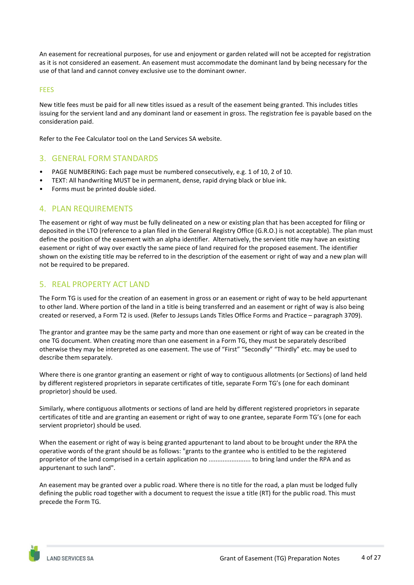An easement for recreational purposes, for use and enjoyment or garden related will not be accepted for registration as it is not considered an easement. An easement must accommodate the dominant land by being necessary for the use of that land and cannot convey exclusive use to the dominant owner.

### <span id="page-4-0"></span>FEES

New title fees must be paid for all new titles issued as a result of the easement being granted. This includes titles issuing for the servient land and any dominant land or easement in gross. The registration fee is payable based on the consideration paid.

<span id="page-4-1"></span>Refer to the Fee Calculator tool on the Land Services SA website.

### 3. GENERAL FORM STANDARDS

- PAGE NUMBERING: Each page must be numbered consecutively, e.g. 1 of 10, 2 of 10.
- TEXT: All handwriting MUST be in permanent, dense, rapid drying black or blue ink.
- <span id="page-4-2"></span>• Forms must be printed double sided.

# 4. PLAN REQUIREMENTS

The easement or right of way must be fully delineated on a new or existing plan that has been accepted for filing or deposited in the LTO (reference to a plan filed in the General Registry Office (G.R.O.) is not acceptable). The plan must define the position of the easement with an alpha identifier. Alternatively, the servient title may have an existing easement or right of way over exactly the same piece of land required for the proposed easement. The identifier shown on the existing title may be referred to in the description of the easement or right of way and a new plan will not be required to be prepared.

# <span id="page-4-3"></span>5. REAL PROPERTY ACT LAND

The Form TG is used for the creation of an easement in gross or an easement or right of way to be held appurtenant to other land. Where portion of the land in a title is being transferred and an easement or right of way is also being created or reserved, a Form T2 is used. (Refer to Jessups Lands Titles Office Forms and Practice – paragraph 3709).

The grantor and grantee may be the same party and more than one easement or right of way can be created in the one TG document. When creating more than one easement in a Form TG, they must be separately described otherwise they may be interpreted as one easement. The use of "First" "Secondly" "Thirdly" etc. may be used to describe them separately.

Where there is one grantor granting an easement or right of way to contiguous allotments (or Sections) of land held by different registered proprietors in separate certificates of title, separate Form TG's (one for each dominant proprietor) should be used.

Similarly, where contiguous allotments or sections of land are held by different registered proprietors in separate certificates of title and are granting an easement or right of way to one grantee, separate Form TG's (one for each servient proprietor) should be used.

When the easement or right of way is being granted appurtenant to land about to be brought under the RPA the operative words of the grant should be as follows: "grants to the grantee who is entitled to be the registered proprietor of the land comprised in a certain application no ........................ to bring land under the RPA and as appurtenant to such land".

An easement may be granted over a public road. Where there is no title for the road, a plan must be lodged fully defining the public road together with a document to request the issue a title (RT) for the public road. This must precede the Form TG.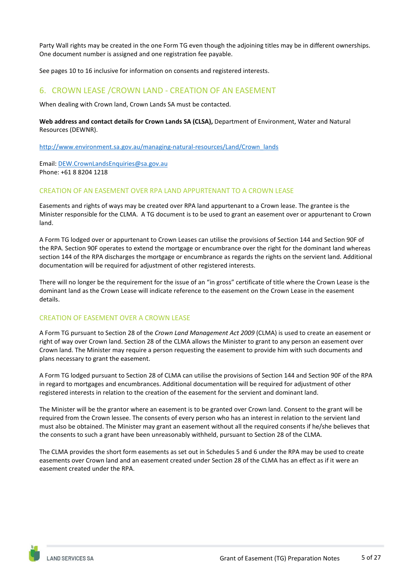Party Wall rights may be created in the one Form TG even though the adjoining titles may be in different ownerships. One document number is assigned and one registration fee payable.

<span id="page-5-0"></span>See pages 10 to 16 inclusive for information on consents and registered interests.

# 6. CROWN LEASE /CROWN LAND - CREATION OF AN EASEMENT

When dealing with Crown land, Crown Lands SA must be contacted.

**Web address and contact details for Crown Lands SA (CLSA),** Department of Environment, Water and Natural Resources (DEWNR).

[http://www.environment.sa.gov.au/managing-natural-resources/Land/Crown\\_lands](http://www.environment.sa.gov.au/managing-natural-resources/Land/Crown_lands)

Email: [DEW.CrownLandsEnquiries@sa.gov.au](mailto:DEW.CrownLandsEnquiries@sa.gov.au) Phone: +61 8 8204 1218

### <span id="page-5-1"></span>CREATION OF AN EASEMENT OVER RPA LAND APPURTENANT TO A CROWN LEASE

Easements and rights of ways may be created over RPA land appurtenant to a Crown lease. The grantee is the Minister responsible for the CLMA. A TG document is to be used to grant an easement over or appurtenant to Crown land.

A Form TG lodged over or appurtenant to Crown Leases can utilise the provisions of Section 144 and Section 90F of the RPA. Section 90F operates to extend the mortgage or encumbrance over the right for the dominant land whereas section 144 of the RPA discharges the mortgage or encumbrance as regards the rights on the servient land. Additional documentation will be required for adjustment of other registered interests.

There will no longer be the requirement for the issue of an "in gross" certificate of title where the Crown Lease is the dominant land as the Crown Lease will indicate reference to the easement on the Crown Lease in the easement details.

### <span id="page-5-2"></span>CREATION OF EASEMENT OVER A CROWN LEASE

A Form TG pursuant to Section 28 of the *Crown Land Management Act 2009* (CLMA) is used to create an easement or right of way over Crown land. Section 28 of the CLMA allows the Minister to grant to any person an easement over Crown land. The Minister may require a person requesting the easement to provide him with such documents and plans necessary to grant the easement.

A Form TG lodged pursuant to Section 28 of CLMA can utilise the provisions of Section 144 and Section 90F of the RPA in regard to mortgages and encumbrances. Additional documentation will be required for adjustment of other registered interests in relation to the creation of the easement for the servient and dominant land.

The Minister will be the grantor where an easement is to be granted over Crown land. Consent to the grant will be required from the Crown lessee. The consents of every person who has an interest in relation to the servient land must also be obtained. The Minister may grant an easement without all the required consents if he/she believes that the consents to such a grant have been unreasonably withheld, pursuant to Section 28 of the CLMA.

The CLMA provides the short form easements as set out in Schedules 5 and 6 under the RPA may be used to create easements over Crown land and an easement created under Section 28 of the CLMA has an effect as if it were an easement created under the RPA.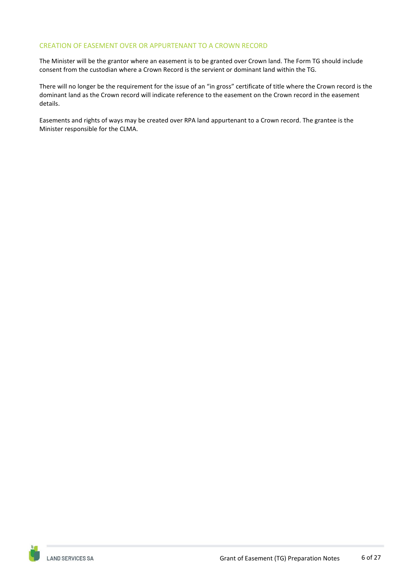### <span id="page-6-0"></span>CREATION OF EASEMENT OVER OR APPURTENANT TO A CROWN RECORD

The Minister will be the grantor where an easement is to be granted over Crown land. The Form TG should include consent from the custodian where a Crown Record is the servient or dominant land within the TG.

There will no longer be the requirement for the issue of an "in gross" certificate of title where the Crown record is the dominant land as the Crown record will indicate reference to the easement on the Crown record in the easement details.

Easements and rights of ways may be created over RPA land appurtenant to a Crown record. The grantee is the Minister responsible for the CLMA.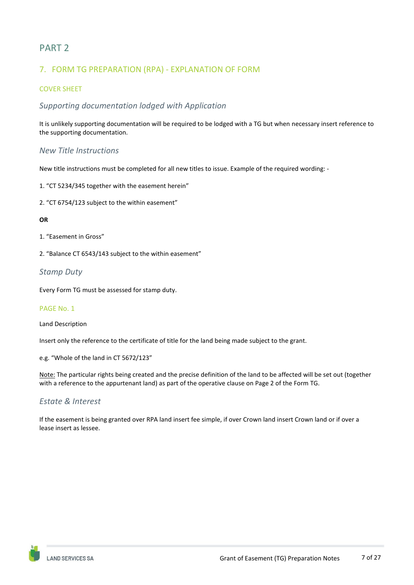# <span id="page-7-0"></span>PART 2

# <span id="page-7-1"></span>7. FORM TG PREPARATION (RPA) - EXPLANATION OF FORM

# <span id="page-7-2"></span>COVER SHEET

# <span id="page-7-3"></span>*Supporting documentation lodged with Application*

It is unlikely supporting documentation will be required to be lodged with a TG but when necessary insert reference to the supporting documentation.

# <span id="page-7-4"></span>*New Title Instructions*

New title instructions must be completed for all new titles to issue. Example of the required wording: -

- 1. "CT 5234/345 together with the easement herein"
- 2. "CT 6754/123 subject to the within easement"

### **OR**

- 1. "Easement in Gross"
- 2. "Balance CT 6543/143 subject to the within easement"

### <span id="page-7-5"></span>*Stamp Duty*

<span id="page-7-6"></span>Every Form TG must be assessed for stamp duty.

### PAGE No. 1

Land Description

Insert only the reference to the certificate of title for the land being made subject to the grant.

e.g. "Whole of the land in CT 5672/123"

Note: The particular rights being created and the precise definition of the land to be affected will be set out (together with a reference to the appurtenant land) as part of the operative clause on Page 2 of the Form TG.

# <span id="page-7-7"></span>*Estate & Interest*

If the easement is being granted over RPA land insert fee simple, if over Crown land insert Crown land or if over a lease insert as lessee.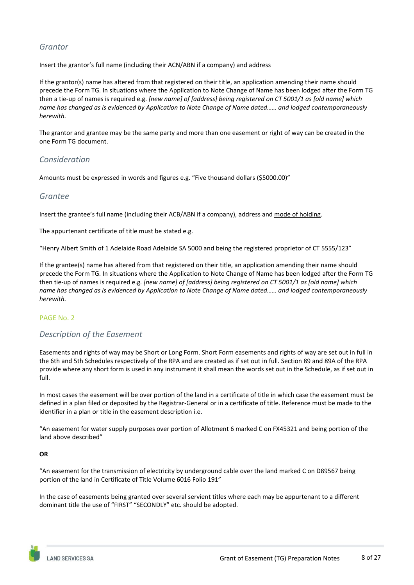# <span id="page-8-0"></span>*Grantor*

Insert the grantor's full name (including their ACN/ABN if a company) and address

If the grantor(s) name has altered from that registered on their title, an application amending their name should precede the Form TG. In situations where the Application to Note Change of Name has been lodged after the Form TG then a tie-up of names is required e.g. *[new name] of [address] being registered on CT 5001/1 as [old name] which name has changed as is evidenced by Application to Note Change of Name dated…… and lodged contemporaneously herewith.*

The grantor and grantee may be the same party and more than one easement or right of way can be created in the one Form TG document.

# <span id="page-8-1"></span>*Consideration*

Amounts must be expressed in words and figures e.g. "Five thousand dollars (\$5000.00)"

### <span id="page-8-2"></span>*Grantee*

Insert the grantee's full name (including their ACB/ABN if a company), address and mode of holding.

The appurtenant certificate of title must be stated e.g.

"Henry Albert Smith of 1 Adelaide Road Adelaide SA 5000 and being the registered proprietor of CT 5555/123"

If the grantee(s) name has altered from that registered on their title, an application amending their name should precede the Form TG. In situations where the Application to Note Change of Name has been lodged after the Form TG then tie-up of names is required e.g*. [new name] of [address] being registered on CT 5001/1 as [old name] which name has changed as is evidenced by Application to Note Change of Name dated…… and lodged contemporaneously herewith.*

### <span id="page-8-3"></span>PAGE No. 2

# <span id="page-8-4"></span>*Description of the Easement*

Easements and rights of way may be Short or Long Form. Short Form easements and rights of way are set out in full in the 6th and 5th Schedules respectively of the RPA and are created as if set out in full. Section 89 and 89A of the RPA provide where any short form is used in any instrument it shall mean the words set out in the Schedule, as if set out in full.

In most cases the easement will be over portion of the land in a certificate of title in which case the easement must be defined in a plan filed or deposited by the Registrar-General or in a certificate of title. Reference must be made to the identifier in a plan or title in the easement description i.e.

"An easement for water supply purposes over portion of Allotment 6 marked C on FX45321 and being portion of the land above described"

### **OR**

"An easement for the transmission of electricity by underground cable over the land marked C on D89567 being portion of the land in Certificate of Title Volume 6016 Folio 191"

In the case of easements being granted over several servient titles where each may be appurtenant to a different dominant title the use of "FIRST" "SECONDLY" etc. should be adopted.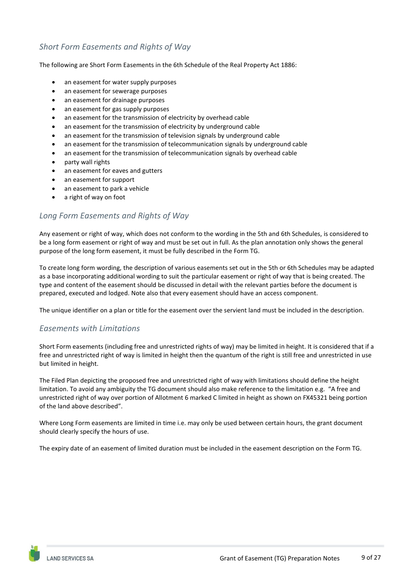# <span id="page-9-0"></span>*Short Form Easements and Rights of Way*

The following are Short Form Easements in the 6th Schedule of the Real Property Act 1886:

- an easement for water supply purposes
- an easement for sewerage purposes
- an easement for drainage purposes
- an easement for gas supply purposes
- an easement for the transmission of electricity by overhead cable
- an easement for the transmission of electricity by underground cable
- an easement for the transmission of television signals by underground cable
- an easement for the transmission of telecommunication signals by underground cable
- an easement for the transmission of telecommunication signals by overhead cable
- party wall rights
- an easement for eaves and gutters
- an easement for support
- an easement to park a vehicle
- a right of way on foot

# <span id="page-9-1"></span>*Long Form Easements and Rights of Way*

Any easement or right of way, which does not conform to the wording in the 5th and 6th Schedules, is considered to be a long form easement or right of way and must be set out in full. As the plan annotation only shows the general purpose of the long form easement, it must be fully described in the Form TG.

To create long form wording, the description of various easements set out in the 5th or 6th Schedules may be adapted as a base incorporating additional wording to suit the particular easement or right of way that is being created. The type and content of the easement should be discussed in detail with the relevant parties before the document is prepared, executed and lodged. Note also that every easement should have an access component.

The unique identifier on a plan or title for the easement over the servient land must be included in the description.

# <span id="page-9-2"></span>*Easements with Limitations*

Short Form easements (including free and unrestricted rights of way) may be limited in height. It is considered that if a free and unrestricted right of way is limited in height then the quantum of the right is still free and unrestricted in use but limited in height.

The Filed Plan depicting the proposed free and unrestricted right of way with limitations should define the height limitation. To avoid any ambiguity the TG document should also make reference to the limitation e.g. "A free and unrestricted right of way over portion of Allotment 6 marked C limited in height as shown on FX45321 being portion of the land above described".

Where Long Form easements are limited in time i.e. may only be used between certain hours, the grant document should clearly specify the hours of use.

The expiry date of an easement of limited duration must be included in the easement description on the Form TG.

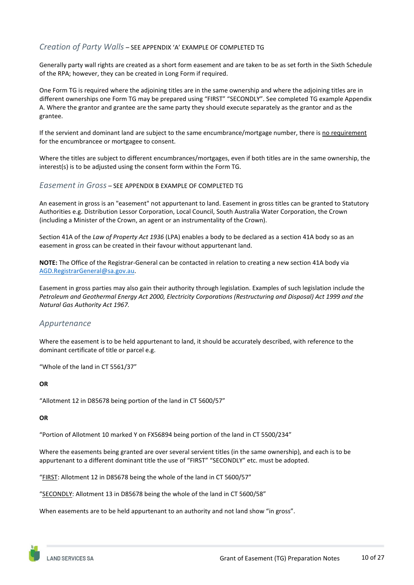# <span id="page-10-0"></span>*Creation of Party Walls* – SEE APPENDIX 'A' EXAMPLE OF COMPLETED TG

Generally party wall rights are created as a short form easement and are taken to be as set forth in the Sixth Schedule of the RPA; however, they can be created in Long Form if required.

One Form TG is required where the adjoining titles are in the same ownership and where the adjoining titles are in different ownerships one Form TG may be prepared using "FIRST" "SECONDLY". See completed TG example Appendix A. Where the grantor and grantee are the same party they should execute separately as the grantor and as the grantee.

If the servient and dominant land are subject to the same encumbrance/mortgage number, there is no requirement for the encumbrancee or mortgagee to consent.

Where the titles are subject to different encumbrances/mortgages, even if both titles are in the same ownership, the interest(s) is to be adjusted using the consent form within the Form TG.

### <span id="page-10-1"></span>*Easement in Gross* – SEE APPENDIX B EXAMPLE OF COMPLETED TG

An easement in gross is an "easement" not appurtenant to land. Easement in gross titles can be granted to Statutory Authorities e.g. Distribution Lessor Corporation, Local Council, South Australia Water Corporation, the Crown (including a Minister of the Crown, an agent or an instrumentality of the Crown).

Section 41A of the *Law of Property Act 1936* (LPA) enables a body to be declared as a section 41A body so as an easement in gross can be created in their favour without appurtenant land.

**NOTE:** The Office of the Registrar-General can be contacted in relation to creating a new section 41A body via [AGD.RegistrarGeneral@sa.gov.au.](mailto:AGD.RegistrarGeneral@sa.gov.au)

Easement in gross parties may also gain their authority through legislation. Examples of such legislation include the *Petroleum and Geothermal Energy Act 2000, Electricity Corporations (Restructuring and Disposal) Act 1999 and the Natural Gas Authority Act 1967.*

### <span id="page-10-2"></span>*Appurtenance*

Where the easement is to be held appurtenant to land, it should be accurately described, with reference to the dominant certificate of title or parcel e.g.

"Whole of the land in CT 5561/37"

**OR**

"Allotment 12 in D85678 being portion of the land in CT 5600/57"

**OR**

"Portion of Allotment 10 marked Y on FX56894 being portion of the land in CT 5500/234"

Where the easements being granted are over several servient titles (in the same ownership), and each is to be appurtenant to a different dominant title the use of "FIRST" "SECONDLY" etc. must be adopted.

"FIRST: Allotment 12 in D85678 being the whole of the land in CT 5600/57"

"SECONDLY: Allotment 13 in D85678 being the whole of the land in CT 5600/58"

When easements are to be held appurtenant to an authority and not land show "in gross".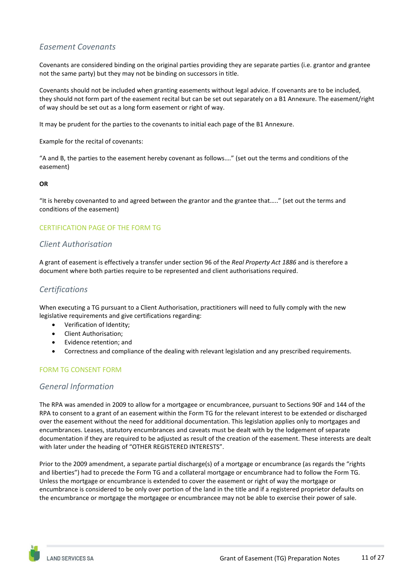# <span id="page-11-0"></span>*Easement Covenants*

Covenants are considered binding on the original parties providing they are separate parties (i.e. grantor and grantee not the same party) but they may not be binding on successors in title.

Covenants should not be included when granting easements without legal advice. If covenants are to be included, they should not form part of the easement recital but can be set out separately on a B1 Annexure. The easement/right of way should be set out as a long form easement or right of way.

It may be prudent for the parties to the covenants to initial each page of the B1 Annexure.

Example for the recital of covenants:

"A and B, the parties to the easement hereby covenant as follows…." (set out the terms and conditions of the easement)

### **OR**

"It is hereby covenanted to and agreed between the grantor and the grantee that….." (set out the terms and conditions of the easement)

### <span id="page-11-1"></span>CERTIFICATION PAGE OF THE FORM TG

# <span id="page-11-2"></span>*Client Authorisation*

A grant of easement is effectively a transfer under section 96 of the *Real Property Act 1886* and is therefore a document where both parties require to be represented and client authorisations required.

# <span id="page-11-3"></span>*Certifications*

When executing a TG pursuant to a Client Authorisation, practitioners will need to fully comply with the new legislative requirements and give certifications regarding:

- Verification of Identity;
- Client Authorisation;
- Evidence retention; and
- Correctness and compliance of the dealing with relevant legislation and any prescribed requirements.

### <span id="page-11-4"></span>FORM TG CONSENT FORM

### <span id="page-11-5"></span>*General Information*

The RPA was amended in 2009 to allow for a mortgagee or encumbrancee, pursuant to Sections 90F and 144 of the RPA to consent to a grant of an easement within the Form TG for the relevant interest to be extended or discharged over the easement without the need for additional documentation. This legislation applies only to mortgages and encumbrances. Leases, statutory encumbrances and caveats must be dealt with by the lodgement of separate documentation if they are required to be adjusted as result of the creation of the easement. These interests are dealt with later under the heading of "OTHER REGISTERED INTERESTS".

Prior to the 2009 amendment, a separate partial discharge(s) of a mortgage or encumbrance (as regards the "rights and liberties") had to precede the Form TG and a collateral mortgage or encumbrance had to follow the Form TG. Unless the mortgage or encumbrance is extended to cover the easement or right of way the mortgage or encumbrance is considered to be only over portion of the land in the title and if a registered proprietor defaults on the encumbrance or mortgage the mortgagee or encumbrancee may not be able to exercise their power of sale.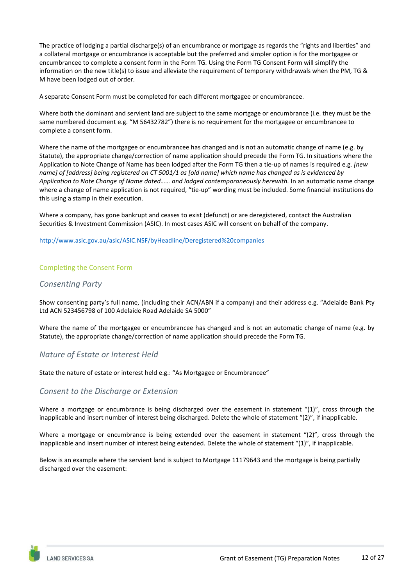The practice of lodging a partial discharge(s) of an encumbrance or mortgage as regards the "rights and liberties" and a collateral mortgage or encumbrance is acceptable but the preferred and simpler option is for the mortgagee or encumbrancee to complete a consent form in the Form TG. Using the Form TG Consent Form will simplify the information on the new title(s) to issue and alleviate the requirement of temporary withdrawals when the PM, TG & M have been lodged out of order.

A separate Consent Form must be completed for each different mortgagee or encumbrancee.

Where both the dominant and servient land are subject to the same mortgage or encumbrance (i.e. they must be the same numbered document e.g. "M 56432782") there is no requirement for the mortgagee or encumbrancee to complete a consent form.

Where the name of the mortgagee or encumbrancee has changed and is not an automatic change of name (e.g. by Statute), the appropriate change/correction of name application should precede the Form TG. In situations where the Application to Note Change of Name has been lodged after the Form TG then a tie-up of names is required e.g. *[new name] of [address] being registered on CT 5001/1 as [old name] which name has changed as is evidenced by Application to Note Change of Name dated…… and lodged contemporaneously herewith.* In an automatic name change where a change of name application is not required, "tie-up" wording must be included. Some financial institutions do this using a stamp in their execution.

Where a company, has gone bankrupt and ceases to exist (defunct) or are deregistered, contact the Australian Securities & Investment Commission (ASIC). In most cases ASIC will consent on behalf of the company.

<http://www.asic.gov.au/asic/ASIC.NSF/byHeadline/Deregistered%20companies>

### <span id="page-12-0"></span>Completing the Consent Form

# <span id="page-12-1"></span>*Consenting Party*

Show consenting party's full name, (including their ACN/ABN if a company) and their address e.g. "Adelaide Bank Pty Ltd ACN 523456798 of 100 Adelaide Road Adelaide SA 5000"

Where the name of the mortgagee or encumbrancee has changed and is not an automatic change of name (e.g. by Statute), the appropriate change/correction of name application should precede the Form TG.

# <span id="page-12-2"></span>*Nature of Estate or Interest Held*

State the nature of estate or interest held e.g.: "As Mortgagee or Encumbrancee"

# <span id="page-12-3"></span>*Consent to the Discharge or Extension*

Where a mortgage or encumbrance is being discharged over the easement in statement "(1)", cross through the inapplicable and insert number of interest being discharged. Delete the whole of statement "(2)", if inapplicable.

Where a mortgage or encumbrance is being extended over the easement in statement "(2)", cross through the inapplicable and insert number of interest being extended. Delete the whole of statement "(1)", if inapplicable.

Below is an example where the servient land is subject to Mortgage 11179643 and the mortgage is being partially discharged over the easement: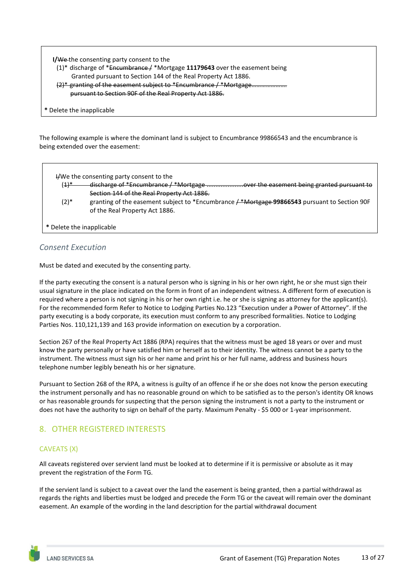**I/**We the consenting party consent to the

- (1)\* discharge of \*Encumbrance / \*Mortgage **11179643** over the easement being Granted pursuant to Section 144 of the Real Property Act 1886.
- $(2)$ \* granting of the easement subject to \*Encumbrance / \*Mortgage.
	- pursuant to Section 90F of the Real Property Act 1886.
- **\*** Delete the inapplicable

The following example is where the dominant land is subject to Encumbrance 99866543 and the encumbrance is being extended over the easement:

| $(1)^*$   | discharge of *Encumbrance / *Mortgage over the easement being granted pursuant to                                                               |
|-----------|-------------------------------------------------------------------------------------------------------------------------------------------------|
|           | Section 144 of the Real Property Act 1886.                                                                                                      |
| $(2)^{*}$ | granting of the easement subject to *Encumbrance $\mu^*$ <del>Mortgage 99866543</del> pursuant to Section 90F<br>of the Real Property Act 1886. |

# <span id="page-13-0"></span>*Consent Execution*

Must be dated and executed by the consenting party.

If the party executing the consent is a natural person who is signing in his or her own right, he or she must sign their usual signature in the place indicated on the form in front of an independent witness. A different form of execution is required where a person is not signing in his or her own right i.e. he or she is signing as attorney for the applicant(s). For the recommended form Refer to Notice to Lodging Parties No.123 "Execution under a Power of Attorney". If the party executing is a body corporate, its execution must conform to any prescribed formalities. Notice to Lodging Parties Nos. 110,121,139 and 163 provide information on execution by a corporation.

Section 267 of the Real Property Act 1886 (RPA) requires that the witness must be aged 18 years or over and must know the party personally or have satisfied him or herself as to their identity. The witness cannot be a party to the instrument. The witness must sign his or her name and print his or her full name, address and business hours telephone number legibly beneath his or her signature.

Pursuant to Section 268 of the RPA, a witness is guilty of an offence if he or she does not know the person executing the instrument personally and has no reasonable ground on which to be satisfied as to the person's identity OR knows or has reasonable grounds for suspecting that the person signing the instrument is not a party to the instrument or does not have the authority to sign on behalf of the party. Maximum Penalty - \$5 000 or 1-year imprisonment.

# <span id="page-13-1"></span>8. OTHER REGISTERED INTERESTS

### <span id="page-13-2"></span>CAVEATS (X)

All caveats registered over servient land must be looked at to determine if it is permissive or absolute as it may prevent the registration of the Form TG.

If the servient land is subject to a caveat over the land the easement is being granted, then a partial withdrawal as regards the rights and liberties must be lodged and precede the Form TG or the caveat will remain over the dominant easement. An example of the wording in the land description for the partial withdrawal document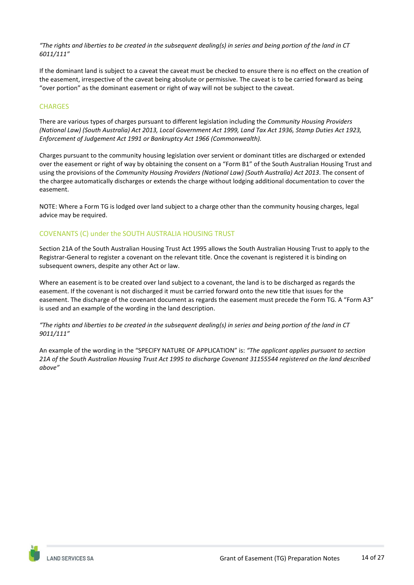*"The rights and liberties to be created in the subsequent dealing(s) in series and being portion of the land in CT 6011/111"* 

If the dominant land is subject to a caveat the caveat must be checked to ensure there is no effect on the creation of the easement, irrespective of the caveat being absolute or permissive. The caveat is to be carried forward as being "over portion" as the dominant easement or right of way will not be subject to the caveat.

### <span id="page-14-0"></span>**CHARGES**

There are various types of charges pursuant to different legislation including the *Community Housing Providers (National Law) (South Australia) Act 2013, Local Government Act 1999, Land Tax Act 1936, Stamp Duties Act 1923, Enforcement of Judgement Act 1991 or Bankruptcy Act 1966 (Commonwealth).*

Charges pursuant to the community housing legislation over servient or dominant titles are discharged or extended over the easement or right of way by obtaining the consent on a "Form B1" of the South Australian Housing Trust and using the provisions of the *Community Housing Providers (National Law) (South Australia) Act 2013*. The consent of the chargee automatically discharges or extends the charge without lodging additional documentation to cover the easement.

NOTE: Where a Form TG is lodged over land subject to a charge other than the community housing charges, legal advice may be required.

### <span id="page-14-1"></span>COVENANTS (C) under the SOUTH AUSTRALIA HOUSING TRUST

Section 21A of the South Australian Housing Trust Act 1995 allows the South Australian Housing Trust to apply to the Registrar-General to register a covenant on the relevant title. Once the covenant is registered it is binding on subsequent owners, despite any other Act or law.

Where an easement is to be created over land subject to a covenant, the land is to be discharged as regards the easement. If the covenant is not discharged it must be carried forward onto the new title that issues for the easement. The discharge of the covenant document as regards the easement must precede the Form TG. A "Form A3" is used and an example of the wording in the land description.

*"The rights and liberties to be created in the subsequent dealing(s) in series and being portion of the land in CT 9011/111"* 

An example of the wording in the "SPECIFY NATURE OF APPLICATION" is: *"The applicant applies pursuant to section 21A of the South Australian Housing Trust Act 1995 to discharge Covenant 31155544 registered on the land described above"*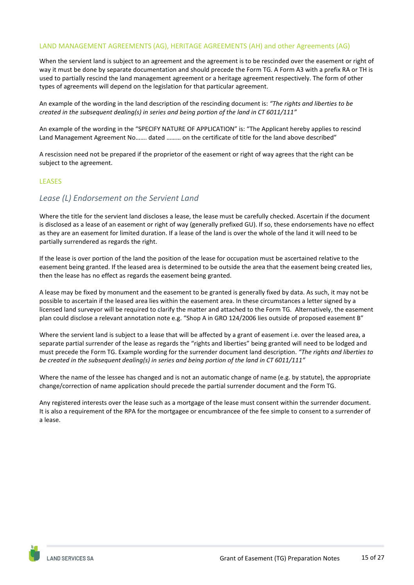### <span id="page-15-0"></span>LAND MANAGEMENT AGREEMENTS (AG), HERITAGE AGREEMENTS (AH) and other Agreements (AG)

When the servient land is subject to an agreement and the agreement is to be rescinded over the easement or right of way it must be done by separate documentation and should precede the Form TG. A Form A3 with a prefix RA or TH is used to partially rescind the land management agreement or a heritage agreement respectively. The form of other types of agreements will depend on the legislation for that particular agreement.

An example of the wording in the land description of the rescinding document is: *"The rights and liberties to be created in the subsequent dealing(s) in series and being portion of the land in CT 6011/111"*

An example of the wording in the "SPECIFY NATURE OF APPLICATION" is: "The Applicant hereby applies to rescind Land Management Agreement No……. dated ……… on the certificate of title for the land above described"

A rescission need not be prepared if the proprietor of the easement or right of way agrees that the right can be subject to the agreement.

### <span id="page-15-1"></span>LEASES

# <span id="page-15-2"></span>*Lease (L) Endorsement on the Servient Land*

Where the title for the servient land discloses a lease, the lease must be carefully checked. Ascertain if the document is disclosed as a lease of an easement or right of way (generally prefixed GU). If so, these endorsements have no effect as they are an easement for limited duration. If a lease of the land is over the whole of the land it will need to be partially surrendered as regards the right.

If the lease is over portion of the land the position of the lease for occupation must be ascertained relative to the easement being granted. If the leased area is determined to be outside the area that the easement being created lies, then the lease has no effect as regards the easement being granted.

A lease may be fixed by monument and the easement to be granted is generally fixed by data. As such, it may not be possible to ascertain if the leased area lies within the easement area. In these circumstances a letter signed by a licensed land surveyor will be required to clarify the matter and attached to the Form TG. Alternatively, the easement plan could disclose a relevant annotation note e.g. "Shop A in GRO 124/2006 lies outside of proposed easement B"

Where the servient land is subject to a lease that will be affected by a grant of easement i.e. over the leased area, a separate partial surrender of the lease as regards the "rights and liberties" being granted will need to be lodged and must precede the Form TG. Example wording for the surrender document land description. *"The rights and liberties to be created in the subsequent dealing(s) in series and being portion of the land in CT 6011/111"*

Where the name of the lessee has changed and is not an automatic change of name (e.g. by statute), the appropriate change/correction of name application should precede the partial surrender document and the Form TG.

Any registered interests over the lease such as a mortgage of the lease must consent within the surrender document. It is also a requirement of the RPA for the mortgagee or encumbrancee of the fee simple to consent to a surrender of a lease.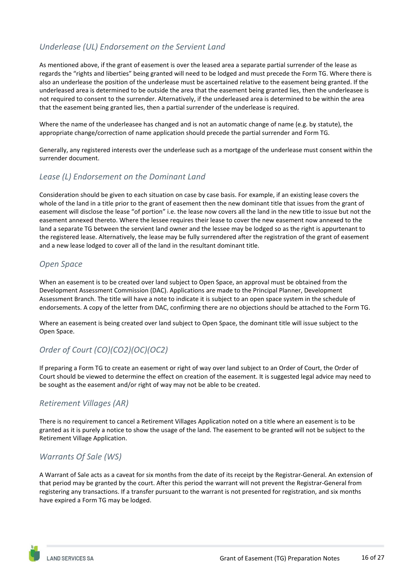# <span id="page-16-0"></span>*Underlease (UL) Endorsement on the Servient Land*

As mentioned above, if the grant of easement is over the leased area a separate partial surrender of the lease as regards the "rights and liberties" being granted will need to be lodged and must precede the Form TG. Where there is also an underlease the position of the underlease must be ascertained relative to the easement being granted. If the underleased area is determined to be outside the area that the easement being granted lies, then the underleasee is not required to consent to the surrender. Alternatively, if the underleased area is determined to be within the area that the easement being granted lies, then a partial surrender of the underlease is required.

Where the name of the underleasee has changed and is not an automatic change of name (e.g. by statute), the appropriate change/correction of name application should precede the partial surrender and Form TG.

Generally, any registered interests over the underlease such as a mortgage of the underlease must consent within the surrender document.

# <span id="page-16-1"></span>*Lease (L) Endorsement on the Dominant Land*

Consideration should be given to each situation on case by case basis. For example, if an existing lease covers the whole of the land in a title prior to the grant of easement then the new dominant title that issues from the grant of easement will disclose the lease "of portion" i.e. the lease now covers all the land in the new title to issue but not the easement annexed thereto. Where the lessee requires their lease to cover the new easement now annexed to the land a separate TG between the servient land owner and the lessee may be lodged so as the right is appurtenant to the registered lease. Alternatively, the lease may be fully surrendered after the registration of the grant of easement and a new lease lodged to cover all of the land in the resultant dominant title.

# <span id="page-16-2"></span>*Open Space*

When an easement is to be created over land subject to Open Space, an approval must be obtained from the Development Assessment Commission (DAC). Applications are made to the Principal Planner, Development Assessment Branch. The title will have a note to indicate it is subject to an open space system in the schedule of endorsements. A copy of the letter from DAC, confirming there are no objections should be attached to the Form TG.

Where an easement is being created over land subject to Open Space, the dominant title will issue subject to the Open Space.

# <span id="page-16-3"></span>*Order of Court (CO)(CO2)(OC)(OC2)*

If preparing a Form TG to create an easement or right of way over land subject to an Order of Court, the Order of Court should be viewed to determine the effect on creation of the easement. It is suggested legal advice may need to be sought as the easement and/or right of way may not be able to be created.

# <span id="page-16-4"></span>*Retirement Villages (AR)*

There is no requirement to cancel a Retirement Villages Application noted on a title where an easement is to be granted as it is purely a notice to show the usage of the land. The easement to be granted will not be subject to the Retirement Village Application.

# <span id="page-16-5"></span>*Warrants Of Sale (WS)*

A Warrant of Sale acts as a caveat for six months from the date of its receipt by the Registrar-General. An extension of that period may be granted by the court. After this period the warrant will not prevent the Registrar-General from registering any transactions. If a transfer pursuant to the warrant is not presented for registration, and six months have expired a Form TG may be lodged.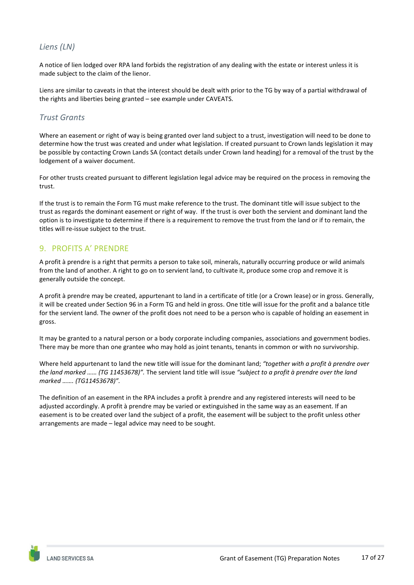# <span id="page-17-0"></span>*Liens (LN)*

A notice of lien lodged over RPA land forbids the registration of any dealing with the estate or interest unless it is made subject to the claim of the lienor.

Liens are similar to caveats in that the interest should be dealt with prior to the TG by way of a partial withdrawal of the rights and liberties being granted – see example under CAVEATS.

# <span id="page-17-1"></span>*Trust Grants*

Where an easement or right of way is being granted over land subject to a trust, investigation will need to be done to determine how the trust was created and under what legislation. If created pursuant to Crown lands legislation it may be possible by contacting Crown Lands SA (contact details under Crown land heading) for a removal of the trust by the lodgement of a waiver document.

For other trusts created pursuant to different legislation legal advice may be required on the process in removing the trust.

If the trust is to remain the Form TG must make reference to the trust. The dominant title will issue subject to the trust as regards the dominant easement or right of way. If the trust is over both the servient and dominant land the option is to investigate to determine if there is a requirement to remove the trust from the land or if to remain, the titles will re-issue subject to the trust.

# <span id="page-17-2"></span>9. PROFITS A' PRENDRE

A profit à prendre is a right that permits a person to take soil, minerals, naturally occurring produce or wild animals from the land of another. A right to go on to servient land, to cultivate it, produce some crop and remove it is generally outside the concept.

A profit à prendre may be created, appurtenant to land in a certificate of title (or a Crown lease) or in gross. Generally, it will be created under Section 96 in a Form TG and held in gross. One title will issue for the profit and a balance title for the servient land. The owner of the profit does not need to be a person who is capable of holding an easement in gross.

It may be granted to a natural person or a body corporate including companies, associations and government bodies. There may be more than one grantee who may hold as joint tenants, tenants in common or with no survivorship.

Where held appurtenant to land the new title will issue for the dominant land; *"together with a profit à prendre over the land marked …… (TG 11453678)".* The servient land title will issue *"subject to a profit à prendre over the land marked ……. (TG11453678)".*

The definition of an easement in the RPA includes a profit à prendre and any registered interests will need to be adjusted accordingly. A profit à prendre may be varied or extinguished in the same way as an easement. If an easement is to be created over land the subject of a profit, the easement will be subject to the profit unless other arrangements are made – legal advice may need to be sought.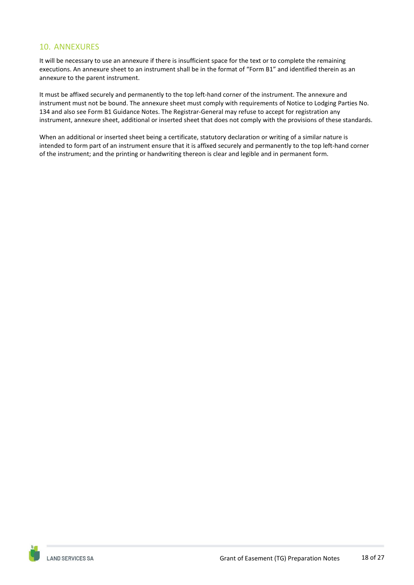# <span id="page-18-0"></span>10. ANNEXURES

It will be necessary to use an annexure if there is insufficient space for the text or to complete the remaining executions. An annexure sheet to an instrument shall be in the format of "Form B1" and identified therein as an annexure to the parent instrument.

It must be affixed securely and permanently to the top left-hand corner of the instrument. The annexure and instrument must not be bound. The annexure sheet must comply with requirements of Notice to Lodging Parties No. 134 and also see Form B1 Guidance Notes. The Registrar-General may refuse to accept for registration any instrument, annexure sheet, additional or inserted sheet that does not comply with the provisions of these standards.

When an additional or inserted sheet being a certificate, statutory declaration or writing of a similar nature is intended to form part of an instrument ensure that it is affixed securely and permanently to the top left-hand corner of the instrument; and the printing or handwriting thereon is clear and legible and in permanent form.

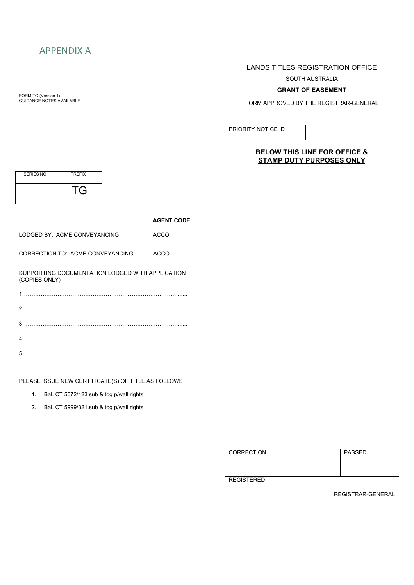<span id="page-19-0"></span>

FORM TG (Version 1) GUIDANCE NOTES AVAILABLE

# LANDS TITLES REGISTRATION OFFICE

SOUTH AUSTRALIA

#### **GRANT OF EASEMENT**

FORM APPROVED BY THE REGISTRAR-GENERAL

PRIORITY NOTICE ID

### **BELOW THIS LINE FOR OFFICE & STAMP DUTY PURPOSES ONLY**

| <b>SERIES NO</b> | <b>PREFIX</b> |
|------------------|---------------|
|                  |               |

LODGED BY: ACME CONVEYANCING ACCO

CORRECTION TO: ACME CONVEYANCING ACCO

SUPPORTING DOCUMENTATION LODGED WITH APPLICATION (COPIES ONLY)

PLEASE ISSUE NEW CERTIFICATE(S) OF TITLE AS FOLLOWS

- 1. Bal. CT 5672/123 sub & tog p/wall rights
- 2. Bal. CT 5999/321.sub & tog p/wall rights

| <b>CORRECTION</b> | <b>PASSED</b>     |
|-------------------|-------------------|
| <b>REGISTERED</b> | REGISTRAR-GENERAL |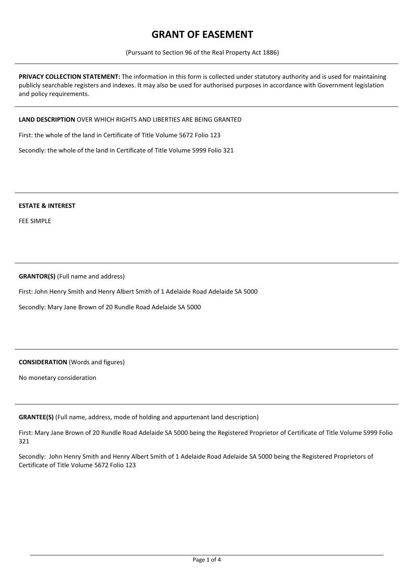# **GRANT OF EASEMENT**

(Pursuant to Section 96 of the Real Property Act 1886)

**PRIVACY COLLECTION STATEMENT:** The information in this form is collected under statutory authority and is used for maintaining publicly searchable registers and indexes. It may also be used for authorised purposes in accordance with Government legislation and policy requirements.

### **LAND DESCRIPTION** OVER WHICH RIGHTS AND LIBERTIES ARE BEING GRANTED

First: the whole of the land in Certificate of Title Volume 5672 Folio 123

Secondly: the whole of the land in Certificate of Title Volume 5999 Folio 321

#### **ESTATE & INTEREST**

FEE SIMPLE

### **GRANTOR(S)** (Full name and address)

First: John Henry Smith and Henry Albert Smith of 1 Adelaide Road Adelaide SA 5000

Secondly: Mary Jane Brown of 20 Rundle Road Adelaide SA 5000

### **CONSIDERATION** (Words and figures)

No monetary consideration

**GRANTEE(S)** (Full name, address, mode of holding and appurtenant land description)

First: Mary Jane Brown of 20 Rundle Road Adelaide SA 5000 being the Registered Proprietor of Certificate of Title Volume 5999 Folio 321

Secondly: John Henry Smith and Henry Albert Smith of 1 Adelaide Road Adelaide SA 5000 being the Registered Proprietors of Certificate of Title Volume 5672 Folio 123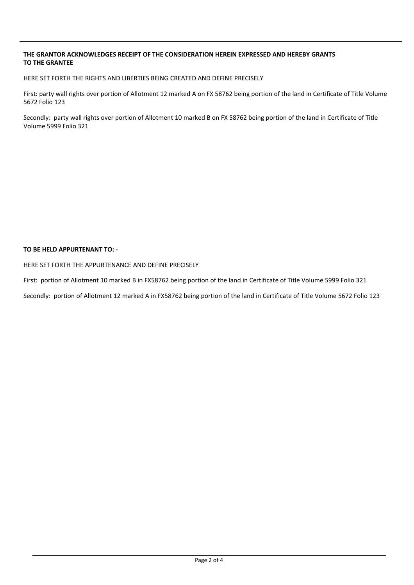### **THE GRANTOR ACKNOWLEDGES RECEIPT OF THE CONSIDERATION HEREIN EXPRESSED AND HEREBY GRANTS TO THE GRANTEE**

HERE SET FORTH THE RIGHTS AND LIBERTIES BEING CREATED AND DEFINE PRECISELY

First: party wall rights over portion of Allotment 12 marked A on FX 58762 being portion of the land in Certificate of Title Volume 5672 Folio 123

Secondly: party wall rights over portion of Allotment 10 marked B on FX 58762 being portion of the land in Certificate of Title Volume 5999 Folio 321

### **TO BE HELD APPURTENANT TO: -**

HERE SET FORTH THE APPURTENANCE AND DEFINE PRECISELY

First: portion of Allotment 10 marked B in FX58762 being portion of the land in Certificate of Title Volume 5999 Folio 321

Secondly: portion of Allotment 12 marked A in FX58762 being portion of the land in Certificate of Title Volume 5672 Folio 123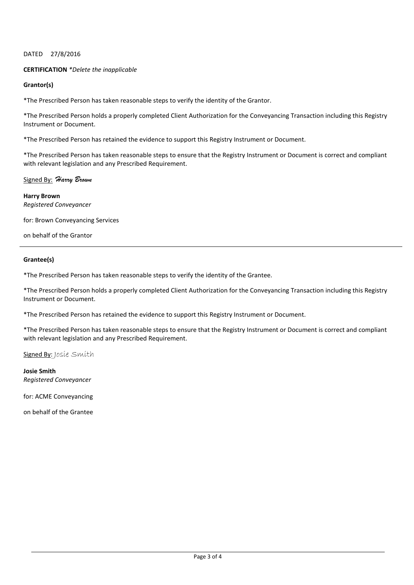### DATED 27/8/2016

### **CERTIFICATION** *\*Delete the inapplicable*

### **Grantor(s)**

\*The Prescribed Person has taken reasonable steps to verify the identity of the Grantor.

\*The Prescribed Person holds a properly completed Client Authorization for the Conveyancing Transaction including this Registry Instrument or Document.

\*The Prescribed Person has retained the evidence to support this Registry Instrument or Document.

\*The Prescribed Person has taken reasonable steps to ensure that the Registry Instrument or Document is correct and compliant with relevant legislation and any Prescribed Requirement.

Signed By: *Harry Brown*

**Harry Brown** *Registered Conveyancer* 

for: Brown Conveyancing Services

on behalf of the Grantor

### **Grantee(s)**

\*The Prescribed Person has taken reasonable steps to verify the identity of the Grantee.

\*The Prescribed Person holds a properly completed Client Authorization for the Conveyancing Transaction including this Registry Instrument or Document.

\*The Prescribed Person has retained the evidence to support this Registry Instrument or Document.

\*The Prescribed Person has taken reasonable steps to ensure that the Registry Instrument or Document is correct and compliant with relevant legislation and any Prescribed Requirement.

Signed By: Josie Smith

**Josie Smith** *Registered Conveyancer*

for: ACME Conveyancing

on behalf of the Grantee

 $\overline{a}$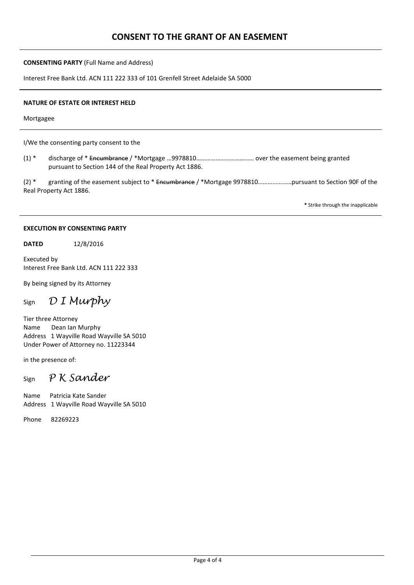# **CONSENT TO THE GRANT OF AN EASEMENT**

**CONSENTING PARTY** (Full Name and Address)

Interest Free Bank Ltd. ACN 111 222 333 of 101 Grenfell Street Adelaide SA 5000

#### **NATURE OF ESTATE OR INTEREST HELD**

Mortgagee

I/We the consenting party consent to the

(1) \* discharge of \* Encumbrance / \*Mortgage …9978810……………………………… over the easement being granted pursuant to Section 144 of the Real Property Act 1886.

(2) \* granting of the easement subject to \* Encumbrance / \*Mortgage 9978810............................pursuant to Section 90F of the Real Property Act 1886.

**\*** Strike through the inapplicable

#### **EXECUTION BY CONSENTING PARTY**

**DATED** 12/8/2016

Executed by Interest Free Bank Ltd. ACN 111 222 333

By being signed by its Attorney

Sign *D I Murphy*

Tier three Attorney Name Dean Ian Murphy Address 1 Wayville Road Wayville SA 5010 Under Power of Attorney no. 11223344

in the presence of:

Sign *P K Sander*

Name Patricia Kate Sander Address 1 Wayville Road Wayville SA 5010

Phone 82269223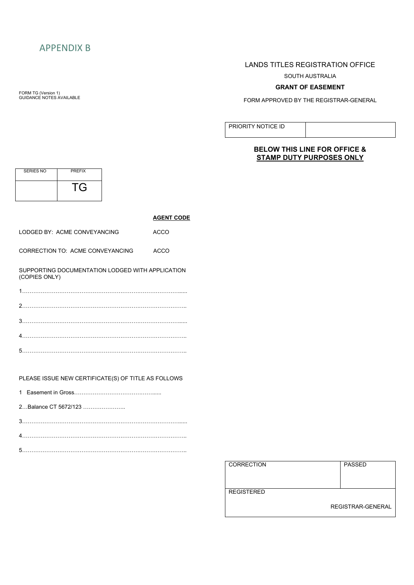<span id="page-24-0"></span>FORM TG (Version 1) GUIDANCE NOTES AVAILABLE

# LANDS TITLES REGISTRATION OFFICE

SOUTH AUSTRALIA

### **GRANT OF EASEMENT**

FORM APPROVED BY THE REGISTRAR-GENERAL

PRIORITY NOTICE ID

### **BELOW THIS LINE FOR OFFICE & STAMP DUTY PURPOSES ONLY**

| <b>SERIES NO</b> | <b>PREFIX</b> |
|------------------|---------------|
|                  |               |

|                                                                   | <b>AGENT CODE</b> |
|-------------------------------------------------------------------|-------------------|
| LODGED BY: ACME CONVEYANCING                                      | <b>ACCO</b>       |
| CORRECTION TO: ACME CONVEYANCING                                  | <b>ACCO</b>       |
| SUPPORTING DOCUMENTATION LODGED WITH APPLICATION<br>(COPIES ONLY) |                   |
|                                                                   |                   |
|                                                                   |                   |
|                                                                   |                   |
|                                                                   |                   |
|                                                                   |                   |
|                                                                   |                   |

PLEASE ISSUE NEW CERTIFICATE(S) OF TITLE AS FOLLOWS

| 2Balance CT 5672/123 |  |
|----------------------|--|
|                      |  |
|                      |  |

5……………………………………………………………………………..

| <b>CORRECTION</b> | <b>PASSED</b>     |
|-------------------|-------------------|
|                   |                   |
|                   |                   |
|                   |                   |
|                   |                   |
|                   |                   |
| <b>REGISTERED</b> |                   |
|                   |                   |
|                   |                   |
|                   |                   |
|                   | REGISTRAR-GENERAL |
|                   |                   |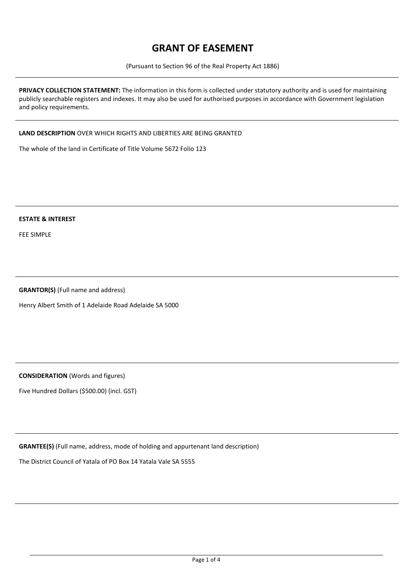# **GRANT OF EASEMENT**

(Pursuant to Section 96 of the Real Property Act 1886)

**PRIVACY COLLECTION STATEMENT:** The information in this form is collected under statutory authority and is used for maintaining publicly searchable registers and indexes. It may also be used for authorised purposes in accordance with Government legislation and policy requirements.

### **LAND DESCRIPTION** OVER WHICH RIGHTS AND LIBERTIES ARE BEING GRANTED

The whole of the land in Certificate of Title Volume 5672 Folio 123

# **ESTATE & INTEREST**

FEE SIMPLE

**GRANTOR(S)** (Full name and address)

Henry Albert Smith of 1 Adelaide Road Adelaide SA 5000

### **CONSIDERATION** (Words and figures)

Five Hundred Dollars (\$500.00) (incl. GST)

**GRANTEE(S)** (Full name, address, mode of holding and appurtenant land description)

The District Council of Yatala of PO Box 14 Yatala Vale SA 5555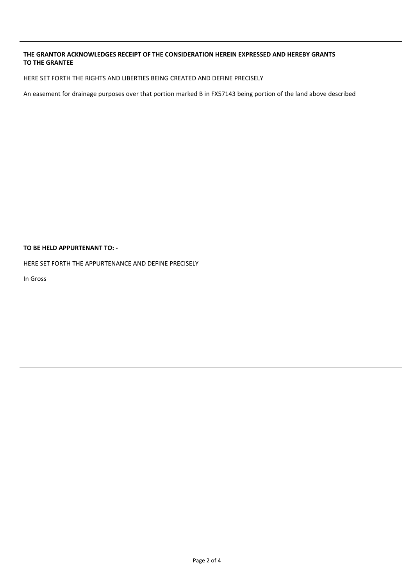### **THE GRANTOR ACKNOWLEDGES RECEIPT OF THE CONSIDERATION HEREIN EXPRESSED AND HEREBY GRANTS TO THE GRANTEE**

HERE SET FORTH THE RIGHTS AND LIBERTIES BEING CREATED AND DEFINE PRECISELY

An easement for drainage purposes over that portion marked B in FX57143 being portion of the land above described

### **TO BE HELD APPURTENANT TO: -**

HERE SET FORTH THE APPURTENANCE AND DEFINE PRECISELY

In Gross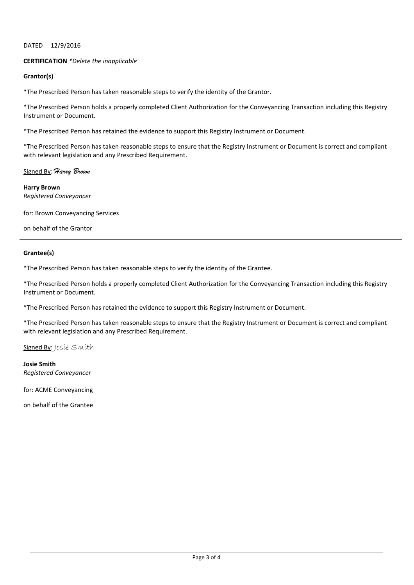#### DATED 12/9/2016

#### **CERTIFICATION** *\*Delete the inapplicable*

#### **Grantor(s)**

\*The Prescribed Person has taken reasonable steps to verify the identity of the Grantor.

\*The Prescribed Person holds a properly completed Client Authorization for the Conveyancing Transaction including this Registry Instrument or Document.

\*The Prescribed Person has retained the evidence to support this Registry Instrument or Document.

\*The Prescribed Person has taken reasonable steps to ensure that the Registry Instrument or Document is correct and compliant with relevant legislation and any Prescribed Requirement.

#### Signed By: *Harry Brown*

**Harry Brown** *Registered Conveyancer* 

for: Brown Conveyancing Services

on behalf of the Grantor

#### **Grantee(s)**

\*The Prescribed Person has taken reasonable steps to verify the identity of the Grantee.

\*The Prescribed Person holds a properly completed Client Authorization for the Conveyancing Transaction including this Registry Instrument or Document.

\*The Prescribed Person has retained the evidence to support this Registry Instrument or Document.

\*The Prescribed Person has taken reasonable steps to ensure that the Registry Instrument or Document is correct and compliant with relevant legislation and any Prescribed Requirement.

Signed By: Josie Smith

**Josie Smith** *Registered Conveyancer*

for: ACME Conveyancing

on behalf of the Grantee

l